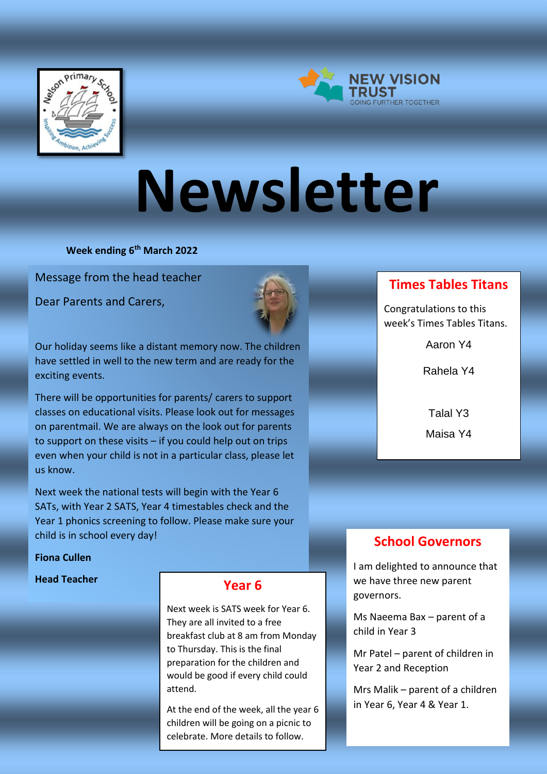



# **Newsletter**

**Week ending 6th March 2022**

Message from the head teacher 

Dear Parents and Carers,



Our holiday seems like a distant memory now. The children have settled in well to the new term and are ready for the exciting events.

There will be opportunities for parents/ carers to support classes on educational visits. Please look out for messages on parentmail. We are always on the look out for parents to support on these visits – if you could help out on trips even when your child is not in a particular class, please let us know.

Next week the national tests will begin with the Year 6 SATs, with Year 2 SATS, Year 4 timestables check and the Year 1 phonics screening to follow. Please make sure your child is in school every day!

#### **Fiona Cullen**

#### **Head Teacher**

## **Year 6**

Next week is SATS week for Year 6. They are all invited to a free breakfast club at 8 am from Monday to Thursday. This is the final preparation for the children and would be good if every child could attend.

At the end of the week, all the year 6 children will be going on a picnic to celebrate. More details to follow.

# **Times Tables Titans**

Congratulations to this week's Times Tables Titans.

Aaron Y4

Rahela Y4

Talal Y3 Maisa Y4

# **School Governors**

I am delighted to announce that we have three new parent governors.

Ms Naeema Bax – parent of a child in Year 3

Mr Patel – parent of children in Year 2 and Reception

Mrs Malik – parent of a children in Year 6, Year 4 & Year 1.